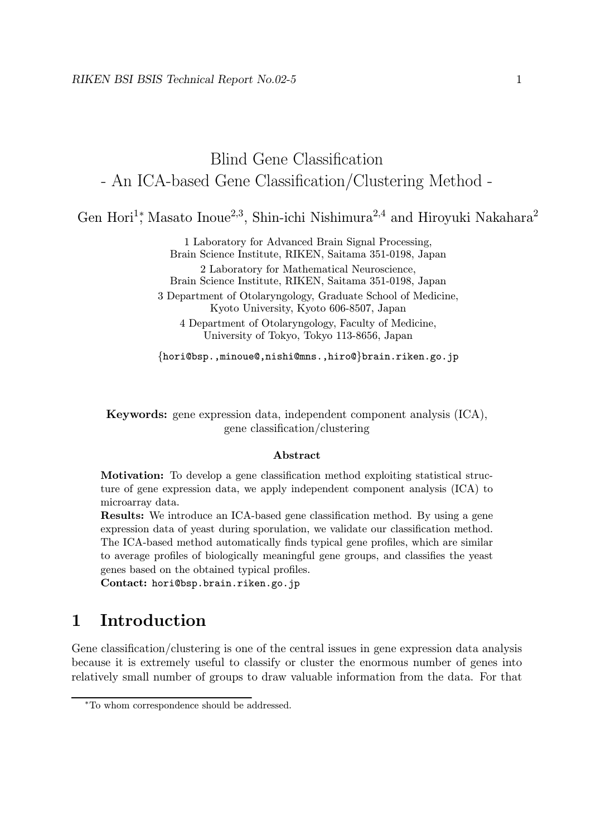# Blind Gene Classification - An ICA-based Gene Classification/Clustering Method -

Gen Hori<sup>1</sup>\*, Masato Inoue<sup>2,3</sup>, Shin-ichi Nishimura<sup>2,4</sup> and Hiroyuki Nakahara<sup>2</sup>

1 Laboratory for Advanced Brain Signal Processing, Brain Science Institute, RIKEN, Saitama 351-0198, Japan 2 Laboratory for Mathematical Neuroscience, Brain Science Institute, RIKEN, Saitama 351-0198, Japan 3 Department of Otolaryngology, Graduate School of Medicine, Kyoto University, Kyoto 606-8507, Japan 4 Department of Otolaryngology, Faculty of Medicine, University of Tokyo, Tokyo 113-8656, Japan

{hori@bsp.,minoue@,nishi@mns.,hiro@}brain.riken.go.jp

Keywords: gene expression data, independent component analysis (ICA), gene classification/clustering

#### Abstract

Motivation: To develop a gene classification method exploiting statistical structure of gene expression data, we apply independent component analysis (ICA) to microarray data.

Results: We introduce an ICA-based gene classification method. By using a gene expression data of yeast during sporulation, we validate our classification method. The ICA-based method automatically finds typical gene profiles, which are similar to average profiles of biologically meaningful gene groups, and classifies the yeast genes based on the obtained typical profiles.

Contact: hori@bsp.brain.riken.go.jp

## 1 Introduction

Gene classification/clustering is one of the central issues in gene expression data analysis because it is extremely useful to classify or cluster the enormous number of genes into relatively small number of groups to draw valuable information from the data. For that

<sup>∗</sup>To whom correspondence should be addressed.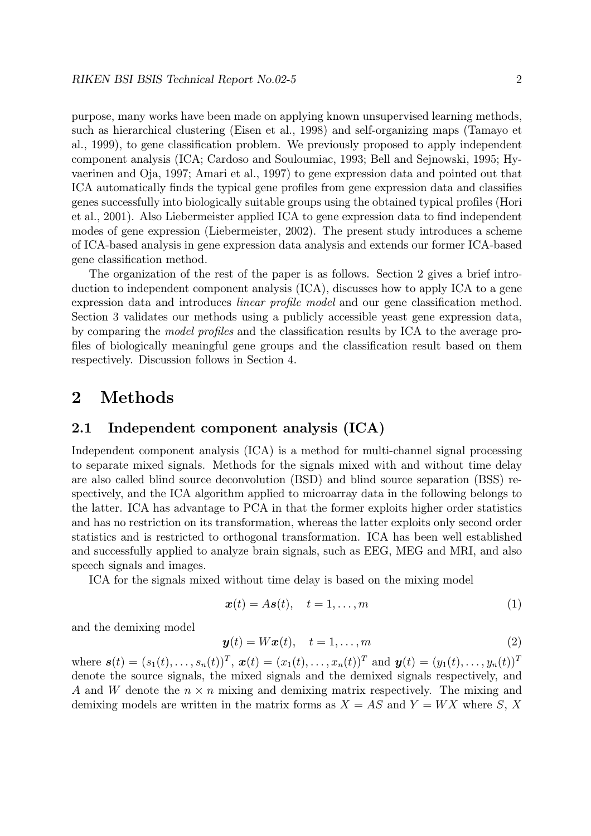purpose, many works have been made on applying known unsupervised learning methods, such as hierarchical clustering (Eisen et al., 1998) and self-organizing maps (Tamayo et al., 1999), to gene classification problem. We previously proposed to apply independent component analysis (ICA; Cardoso and Souloumiac, 1993; Bell and Sejnowski, 1995; Hyvaerinen and Oja, 1997; Amari et al., 1997) to gene expression data and pointed out that ICA automatically finds the typical gene profiles from gene expression data and classifies genes successfully into biologically suitable groups using the obtained typical profiles (Hori et al., 2001). Also Liebermeister applied ICA to gene expression data to find independent modes of gene expression (Liebermeister, 2002). The present study introduces a scheme of ICA-based analysis in gene expression data analysis and extends our former ICA-based gene classification method.

The organization of the rest of the paper is as follows. Section 2 gives a brief introduction to independent component analysis (ICA), discusses how to apply ICA to a gene expression data and introduces *linear profile model* and our gene classification method. Section 3 validates our methods using a publicly accessible yeast gene expression data, by comparing the model profiles and the classification results by ICA to the average profiles of biologically meaningful gene groups and the classification result based on them respectively. Discussion follows in Section 4.

### 2 Methods

### 2.1 Independent component analysis (ICA)

Independent component analysis (ICA) is a method for multi-channel signal processing to separate mixed signals. Methods for the signals mixed with and without time delay are also called blind source deconvolution (BSD) and blind source separation (BSS) respectively, and the ICA algorithm applied to microarray data in the following belongs to the latter. ICA has advantage to PCA in that the former exploits higher order statistics and has no restriction on its transformation, whereas the latter exploits only second order statistics and is restricted to orthogonal transformation. ICA has been well established and successfully applied to analyze brain signals, such as EEG, MEG and MRI, and also speech signals and images.

ICA for the signals mixed without time delay is based on the mixing model

$$
\boldsymbol{x}(t) = A\boldsymbol{s}(t), \quad t = 1, \dots, m \tag{1}
$$

and the demixing model

$$
\mathbf{y}(t) = W\mathbf{x}(t), \quad t = 1, \dots, m \tag{2}
$$

where  $\mathbf{s}(t)=(s_1(t),\ldots,s_n(t))^T, \mathbf{x}(t)=(x_1(t),\ldots,x_n(t))^T$  and  $\mathbf{y}(t)=(y_1(t),\ldots,y_n(t))^T$ denote the source signals, the mixed signals and the demixed signals respectively, and A and W denote the  $n \times n$  mixing and demixing matrix respectively. The mixing and demixing models are written in the matrix forms as  $X = AS$  and  $Y = WX$  where S, X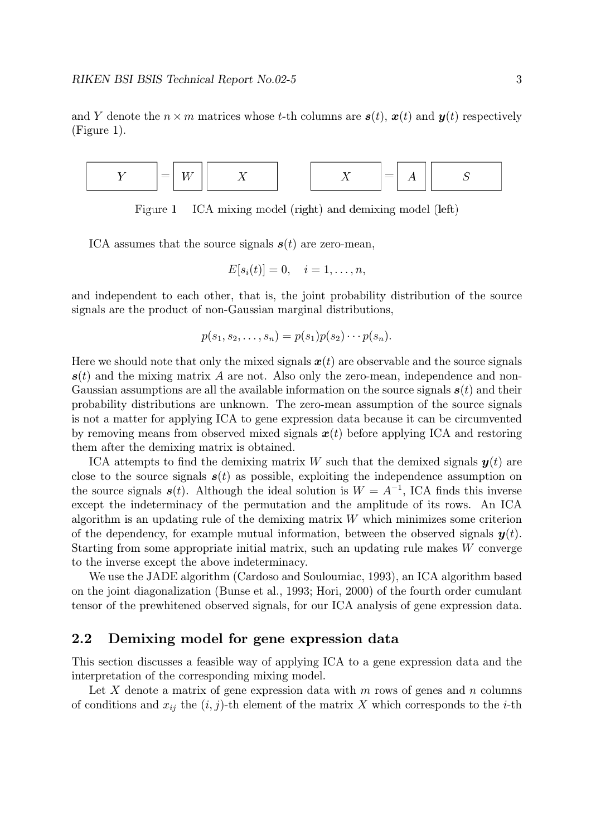and Y denote the  $n \times m$  matrices whose t-th columns are  $s(t)$ ,  $x(t)$  and  $y(t)$  respectively (Figure 1).



Figure 1 ICA mixing model (right) and demixing model (left)

ICA assumes that the source signals  $s(t)$  are zero-mean,

$$
E[s_i(t)] = 0, \quad i = 1, \ldots, n,
$$

and independent to each other, that is, the joint probability distribution of the source signals are the product of non-Gaussian marginal distributions,

$$
p(s_1,s_2,\ldots,s_n)=p(s_1)p(s_2)\cdots p(s_n).
$$

Here we should note that only the mixed signals  $x(t)$  are observable and the source signals  $s(t)$  and the mixing matrix A are not. Also only the zero-mean, independence and non-Gaussian assumptions are all the available information on the source signals  $s(t)$  and their probability distributions are unknown. The zero-mean assumption of the source signals is not a matter for applying ICA to gene expression data because it can be circumvented by removing means from observed mixed signals  $x(t)$  before applying ICA and restoring them after the demixing matrix is obtained.

ICA attempts to find the demixing matrix W such that the demixed signals  $y(t)$  are close to the source signals  $s(t)$  as possible, exploiting the independence assumption on the source signals  $s(t)$ . Although the ideal solution is  $W = A^{-1}$ , ICA finds this inverse except the indeterminacy of the permutation and the amplitude of its rows. An ICA algorithm is an updating rule of the demixing matrix  $W$  which minimizes some criterion of the dependency, for example mutual information, between the observed signals  $y(t)$ . Starting from some appropriate initial matrix, such an updating rule makes W converge to the inverse except the above indeterminacy.

We use the JADE algorithm (Cardoso and Souloumiac, 1993), an ICA algorithm based on the joint diagonalization (Bunse et al., 1993; Hori, 2000) of the fourth order cumulant tensor of the prewhitened observed signals, for our ICA analysis of gene expression data.

#### 2.2 Demixing model for gene expression data

This section discusses a feasible way of applying ICA to a gene expression data and the interpretation of the corresponding mixing model.

Let X denote a matrix of gene expression data with  $m$  rows of genes and  $n$  columns of conditions and  $x_{ij}$  the  $(i, j)$ -th element of the matrix X which corresponds to the *i*-th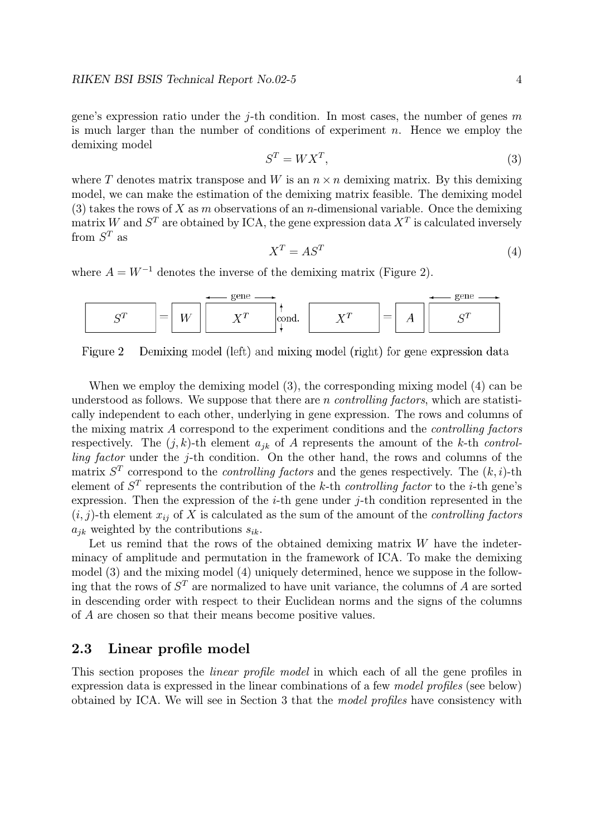gene's expression ratio under the *j*-th condition. In most cases, the number of genes m is much larger than the number of conditions of experiment  $n$ . Hence we employ the demixing model

$$
S^T = W X^T,\tag{3}
$$

where T denotes matrix transpose and W is an  $n \times n$  demixing matrix. By this demixing model, we can make the estimation of the demixing matrix feasible. The demixing model (3) takes the rows of X as m observations of an n-dimensional variable. Once the demixing matrix W and  $S<sup>T</sup>$  are obtained by ICA, the gene expression data  $X<sup>T</sup>$  is calculated inversely from  $S<sup>T</sup>$  as

$$
X^T = A S^T \tag{4}
$$

where  $A = W^{-1}$  denotes the inverse of the demixing matrix (Figure 2).



Figure 2 Demixing model (left) and mixing model (right) for gene expression data

When we employ the demixing model (3), the corresponding mixing model (4) can be understood as follows. We suppose that there are n *controlling factors*, which are statistically independent to each other, underlying in gene expression. The rows and columns of the mixing matrix A correspond to the experiment conditions and the controlling factors respectively. The  $(j, k)$ -th element  $a_{ik}$  of A represents the amount of the k-th controlling factor under the j-th condition. On the other hand, the rows and columns of the matrix  $S<sup>T</sup>$  correspond to the *controlling factors* and the genes respectively. The  $(k, i)$ -th element of  $S<sup>T</sup>$  represents the contribution of the k-th controlling factor to the *i*-th gene's expression. Then the expression of the  $i$ -th gene under  $j$ -th condition represented in the  $(i, j)$ -th element  $x_{ij}$  of X is calculated as the sum of the amount of the *controlling factors*  $a_{ik}$  weighted by the contributions  $s_{ik}$ .

Let us remind that the rows of the obtained demixing matrix  $W$  have the indeterminacy of amplitude and permutation in the framework of ICA. To make the demixing model (3) and the mixing model (4) uniquely determined, hence we suppose in the following that the rows of  $S<sup>T</sup>$  are normalized to have unit variance, the columns of A are sorted in descending order with respect to their Euclidean norms and the signs of the columns of A are chosen so that their means become positive values.

#### 2.3 Linear profile model

This section proposes the *linear profile model* in which each of all the gene profiles in expression data is expressed in the linear combinations of a few model profiles (see below) obtained by ICA. We will see in Section 3 that the model profiles have consistency with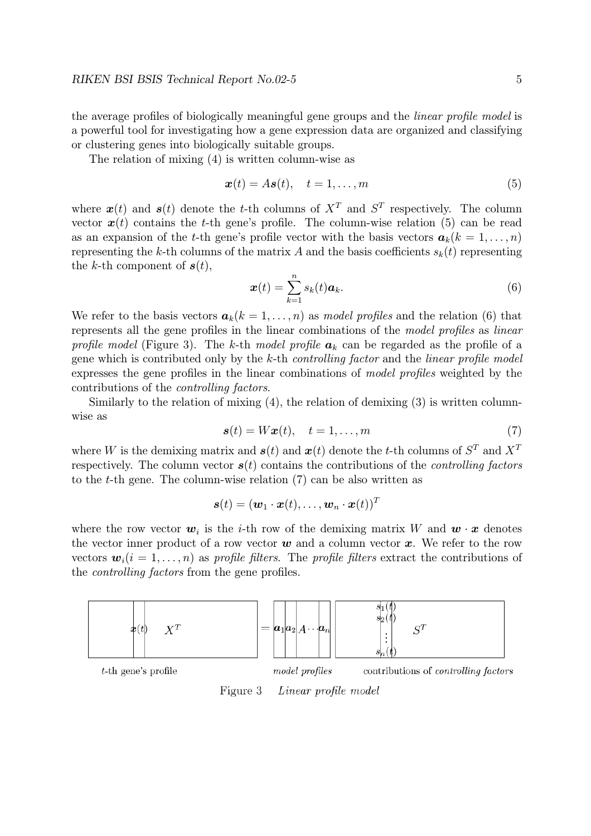the average profiles of biologically meaningful gene groups and the linear profile model is a powerful tool for investigating how a gene expression data are organized and classifying or clustering genes into biologically suitable groups.

The relation of mixing (4) is written column-wise as

$$
\boldsymbol{x}(t) = A\boldsymbol{s}(t), \quad t = 1, \dots, m \tag{5}
$$

where  $x(t)$  and  $s(t)$  denote the t-th columns of  $X<sup>T</sup>$  and  $S<sup>T</sup>$  respectively. The column vector  $x(t)$  contains the t-th gene's profile. The column-wise relation (5) can be read as an expansion of the t-th gene's profile vector with the basis vectors  $a_k(k = 1, \ldots, n)$ representing the k-th columns of the matrix A and the basis coefficients  $s_k(t)$  representing the k-th component of  $s(t)$ ,

$$
\boldsymbol{x}(t) = \sum_{k=1}^{n} s_k(t) \boldsymbol{a}_k. \tag{6}
$$

We refer to the basis vectors  $a_k(k = 1, \ldots, n)$  as model profiles and the relation (6) that represents all the gene profiles in the linear combinations of the model profiles as linear profile model (Figure 3). The k-th model profile  $a_k$  can be regarded as the profile of a gene which is contributed only by the  $k$ -th *controlling factor* and the *linear profile model* expresses the gene profiles in the linear combinations of model profiles weighted by the contributions of the controlling factors.

Similarly to the relation of mixing (4), the relation of demixing (3) is written columnwise as

$$
\mathbf{s}(t) = W\mathbf{x}(t), \quad t = 1, \dots, m \tag{7}
$$

where W is the demixing matrix and  $s(t)$  and  $x(t)$  denote the t-th columns of  $S<sup>T</sup>$  and  $X<sup>T</sup>$ respectively. The column vector  $s(t)$  contains the contributions of the *controlling factors* to the t-th gene. The column-wise relation (7) can be also written as

$$
\boldsymbol{s}(t) = (\boldsymbol{w}_1 \cdot \boldsymbol{x}(t), \ldots, \boldsymbol{w}_n \cdot \boldsymbol{x}(t))^T
$$

where the row vector  $w_i$  is the i-th row of the demixing matrix W and  $w \cdot x$  denotes the vector inner product of a row vector  $w$  and a column vector  $x$ . We refer to the row vectors  $\mathbf{w}_i(i = 1, \ldots, n)$  as profile filters. The profile filters extract the contributions of the controlling factors from the gene profiles.



Figure 3 Linear profile model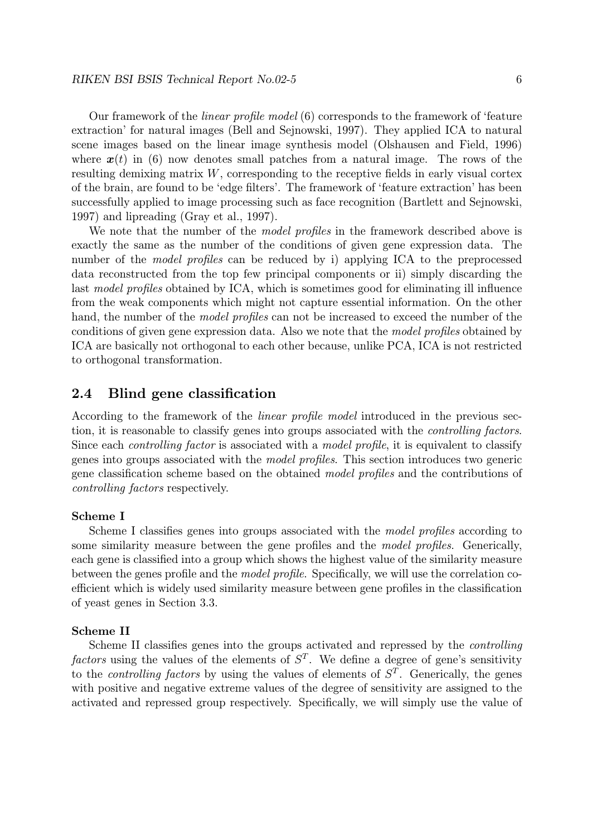Our framework of the linear profile model (6) corresponds to the framework of 'feature extraction' for natural images (Bell and Sejnowski, 1997). They applied ICA to natural scene images based on the linear image synthesis model (Olshausen and Field, 1996) where  $x(t)$  in (6) now denotes small patches from a natural image. The rows of the resulting demixing matrix W, corresponding to the receptive fields in early visual cortex of the brain, are found to be 'edge filters'. The framework of 'feature extraction' has been successfully applied to image processing such as face recognition (Bartlett and Sejnowski, 1997) and lipreading (Gray et al., 1997).

We note that the number of the *model profiles* in the framework described above is exactly the same as the number of the conditions of given gene expression data. The number of the model profiles can be reduced by i) applying ICA to the preprocessed data reconstructed from the top few principal components or ii) simply discarding the last model profiles obtained by ICA, which is sometimes good for eliminating ill influence from the weak components which might not capture essential information. On the other hand, the number of the *model profiles* can not be increased to exceed the number of the conditions of given gene expression data. Also we note that the model profiles obtained by ICA are basically not orthogonal to each other because, unlike PCA, ICA is not restricted to orthogonal transformation.

#### 2.4 Blind gene classification

According to the framework of the *linear profile model* introduced in the previous section, it is reasonable to classify genes into groups associated with the controlling factors. Since each *controlling factor* is associated with a *model profile*, it is equivalent to classify genes into groups associated with the model profiles. This section introduces two generic gene classification scheme based on the obtained model profiles and the contributions of controlling factors respectively.

#### Scheme I

Scheme I classifies genes into groups associated with the *model profiles* according to some similarity measure between the gene profiles and the *model profiles*. Generically, each gene is classified into a group which shows the highest value of the similarity measure between the genes profile and the model profile. Specifically, we will use the correlation coefficient which is widely used similarity measure between gene profiles in the classification of yeast genes in Section 3.3.

#### Scheme II

Scheme II classifies genes into the groups activated and repressed by the controlling factors using the values of the elements of  $S<sup>T</sup>$ . We define a degree of gene's sensitivity to the *controlling factors* by using the values of elements of  $S<sup>T</sup>$ . Generically, the genes with positive and negative extreme values of the degree of sensitivity are assigned to the activated and repressed group respectively. Specifically, we will simply use the value of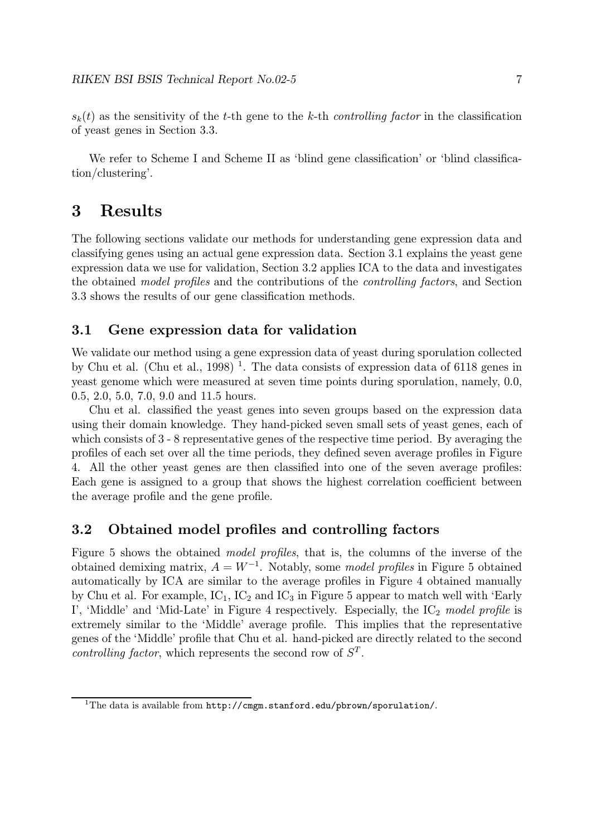$s_k(t)$  as the sensitivity of the t-th gene to the k-th controlling factor in the classification of yeast genes in Section 3.3.

We refer to Scheme I and Scheme II as 'blind gene classification' or 'blind classification/clustering'.

### 3 Results

The following sections validate our methods for understanding gene expression data and classifying genes using an actual gene expression data. Section 3.1 explains the yeast gene expression data we use for validation, Section 3.2 applies ICA to the data and investigates the obtained model profiles and the contributions of the controlling factors, and Section 3.3 shows the results of our gene classification methods.

#### 3.1 Gene expression data for validation

We validate our method using a gene expression data of yeast during sporulation collected by Chu et al. (Chu et al., 1998)<sup>1</sup>. The data consists of expression data of 6118 genes in yeast genome which were measured at seven time points during sporulation, namely, 0.0, 0.5, 2.0, 5.0, 7.0, 9.0 and 11.5 hours.

Chu et al. classified the yeast genes into seven groups based on the expression data using their domain knowledge. They hand-picked seven small sets of yeast genes, each of which consists of 3 - 8 representative genes of the respective time period. By averaging the profiles of each set over all the time periods, they defined seven average profiles in Figure 4. All the other yeast genes are then classified into one of the seven average profiles: Each gene is assigned to a group that shows the highest correlation coefficient between the average profile and the gene profile.

#### 3.2 Obtained model profiles and controlling factors

Figure 5 shows the obtained model profiles, that is, the columns of the inverse of the obtained demixing matrix,  $A = W^{-1}$ . Notably, some model profiles in Figure 5 obtained automatically by ICA are similar to the average profiles in Figure 4 obtained manually by Chu et al. For example,  $IC_1$ ,  $IC_2$  and  $IC_3$  in Figure 5 appear to match well with 'Early I', 'Middle' and 'Mid-Late' in Figure 4 respectively. Especially, the  $IC_2$  model profile is extremely similar to the 'Middle' average profile. This implies that the representative genes of the 'Middle' profile that Chu et al. hand-picked are directly related to the second *controlling factor*, which represents the second row of  $S<sup>T</sup>$ .

<sup>&</sup>lt;sup>1</sup>The data is available from  $http://cmpm.stanford.edu/pbrown/sporulation/$ .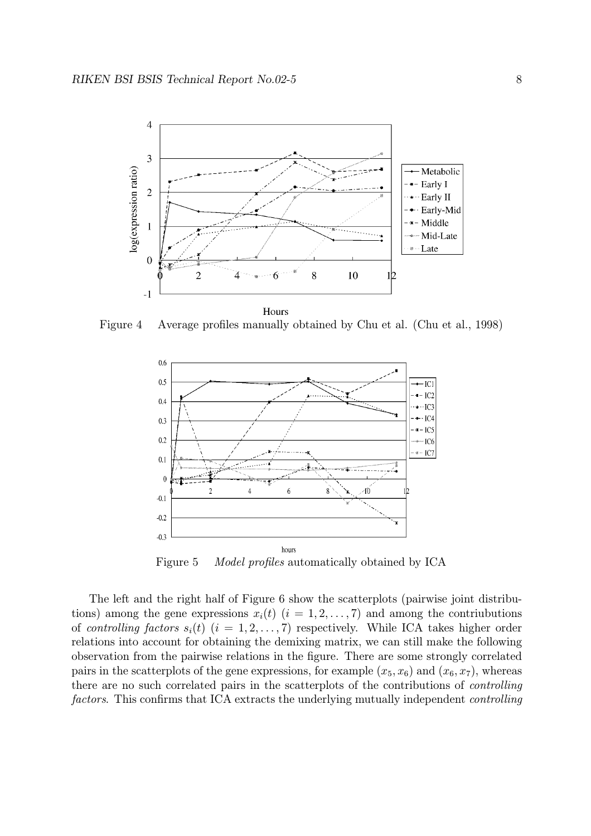

Figure 4 Average profiles manually obtained by Chu et al. (Chu et al., 1998)



Figure 5 Model profiles automatically obtained by ICA

The left and the right half of Figure 6 show the scatterplots (pairwise joint distributions) among the gene expressions  $x_i(t)$   $(i = 1, 2, \ldots, 7)$  and among the contriubutions of controlling factors  $s_i(t)$   $(i = 1, 2, ..., 7)$  respectively. While ICA takes higher order relations into account for obtaining the demixing matrix, we can still make the following observation from the pairwise relations in the figure. There are some strongly correlated pairs in the scatterplots of the gene expressions, for example  $(x_5, x_6)$  and  $(x_6, x_7)$ , whereas there are no such correlated pairs in the scatterplots of the contributions of controlling factors. This confirms that ICA extracts the underlying mutually independent *controlling*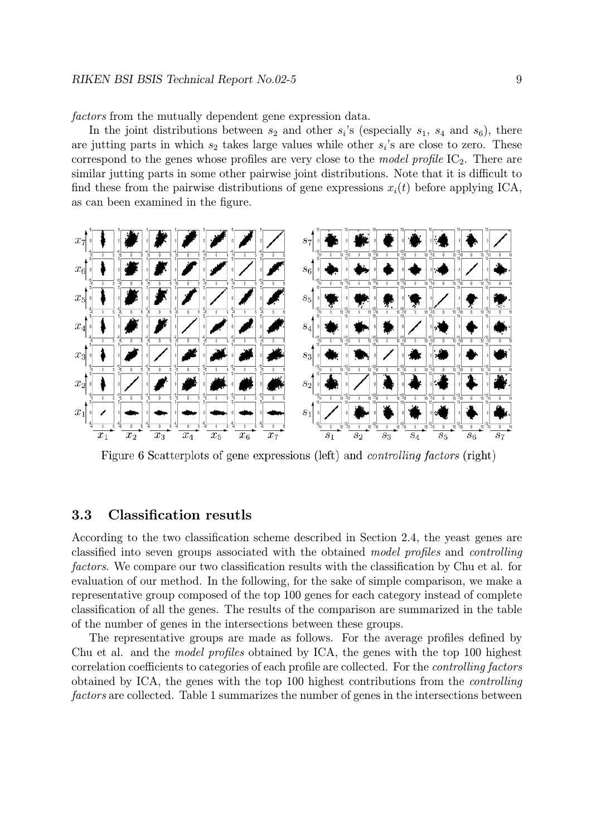factors from the mutually dependent gene expression data.

In the joint distributions between  $s_2$  and other  $s_i$ 's (especially  $s_1$ ,  $s_4$  and  $s_6$ ), there are jutting parts in which  $s_2$  takes large values while other  $s_i$ 's are close to zero. These correspond to the genes whose profiles are very close to the model profile  $IC_2$ . There are similar jutting parts in some other pairwise joint distributions. Note that it is difficult to find these from the pairwise distributions of gene expressions  $x_i(t)$  before applying ICA, as can been examined in the figure.



Figure 6 Scatterplots of gene expressions (left) and *controlling factors* (right)

#### 3.3 Classification resutls

According to the two classification scheme described in Section 2.4, the yeast genes are classified into seven groups associated with the obtained model profiles and controlling factors. We compare our two classification results with the classification by Chu et al. for evaluation of our method. In the following, for the sake of simple comparison, we make a representative group composed of the top 100 genes for each category instead of complete classification of all the genes. The results of the comparison are summarized in the table of the number of genes in the intersections between these groups.

The representative groups are made as follows. For the average profiles defined by Chu et al. and the model profiles obtained by ICA, the genes with the top 100 highest correlation coefficients to categories of each profile are collected. For the controlling factors obtained by ICA, the genes with the top 100 highest contributions from the controlling factors are collected. Table 1 summarizes the number of genes in the intersections between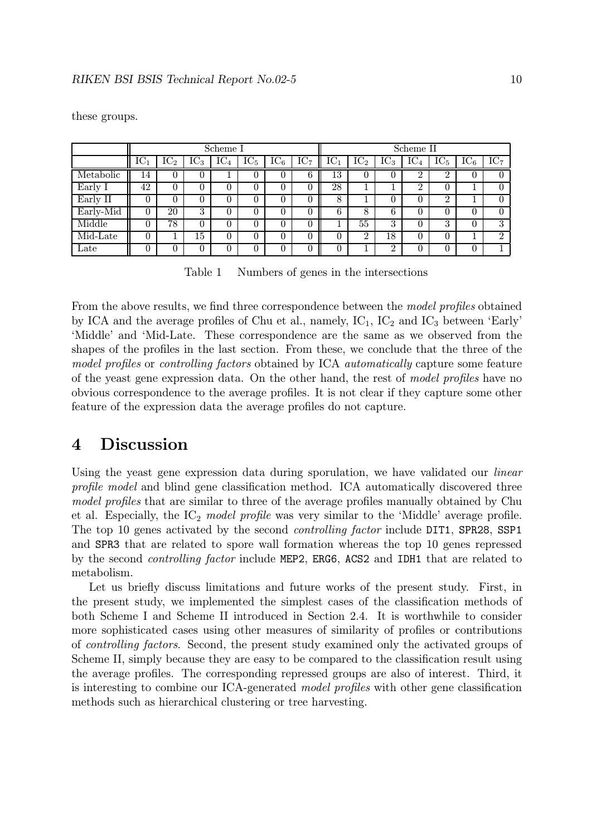|               | Scheme I        |                 |                 |        |                 |        |                 | Scheme II       |                 |                 |                 |                     |                 |                 |
|---------------|-----------------|-----------------|-----------------|--------|-----------------|--------|-----------------|-----------------|-----------------|-----------------|-----------------|---------------------|-----------------|-----------------|
|               | IC <sub>1</sub> | IC <sub>2</sub> | IC <sub>3</sub> | $IC_4$ | IC <sub>5</sub> | $IC_6$ | IC <sub>7</sub> | IC <sub>1</sub> | IC <sub>2</sub> | IC <sub>3</sub> | IC <sub>4</sub> | IC <sub>5</sub>     | IC <sub>6</sub> | IC <sub>7</sub> |
| Metabolic     | 14              |                 | 0               |        |                 | 0      | 6               | 13              | υ               |                 | ົ<br>∠          | റ<br>$\overline{ }$ |                 |                 |
| Early I       | 42              | 0               | $\theta$        |        | 0               | 0      |                 | 28              |                 |                 | റ               | 0                   |                 |                 |
| Early II      |                 |                 | 0               |        | 0               | 0      |                 | 8               |                 |                 | 0               | $\overline{2}$      |                 |                 |
| Early-Mid     |                 | 20              | 3               |        |                 | 0      |                 | 6               | 8               | h               | 0               | $\Omega$            |                 |                 |
| Middle        |                 | 78              | 0               |        |                 | 0      |                 |                 | 55              | 3               | 0               | 3                   |                 | 3               |
| Mid-Late      |                 |                 | 15              |        | 0               | 0      |                 | $\theta$        | $\overline{2}$  | 18              | 0               | $\Omega$            |                 | റ               |
| $_{\rm Late}$ |                 |                 | $\Omega$        |        |                 |        |                 |                 |                 | ົ               |                 | 0                   |                 |                 |

these groups.

Table 1 Numbers of genes in the intersections

From the above results, we find three correspondence between the *model profiles* obtained by ICA and the average profiles of Chu et al., namely,  $IC_1$ ,  $IC_2$  and  $IC_3$  between 'Early' 'Middle' and 'Mid-Late. These correspondence are the same as we observed from the shapes of the profiles in the last section. From these, we conclude that the three of the model profiles or controlling factors obtained by ICA *automatically* capture some feature of the yeast gene expression data. On the other hand, the rest of model profiles have no obvious correspondence to the average profiles. It is not clear if they capture some other feature of the expression data the average profiles do not capture.

### 4 Discussion

Using the yeast gene expression data during sporulation, we have validated our *linear* profile model and blind gene classification method. ICA automatically discovered three model profiles that are similar to three of the average profiles manually obtained by Chu et al. Especially, the  $IC_2$  model profile was very similar to the 'Middle' average profile. The top 10 genes activated by the second *controlling factor* include DIT1, SPR28, SSP1 and SPR3 that are related to spore wall formation whereas the top 10 genes repressed by the second controlling factor include MEP2, ERG6, ACS2 and IDH1 that are related to metabolism.

Let us briefly discuss limitations and future works of the present study. First, in the present study, we implemented the simplest cases of the classification methods of both Scheme I and Scheme II introduced in Section 2.4. It is worthwhile to consider more sophisticated cases using other measures of similarity of profiles or contributions of controlling factors. Second, the present study examined only the activated groups of Scheme II, simply because they are easy to be compared to the classification result using the average profiles. The corresponding repressed groups are also of interest. Third, it is interesting to combine our ICA-generated model profiles with other gene classification methods such as hierarchical clustering or tree harvesting.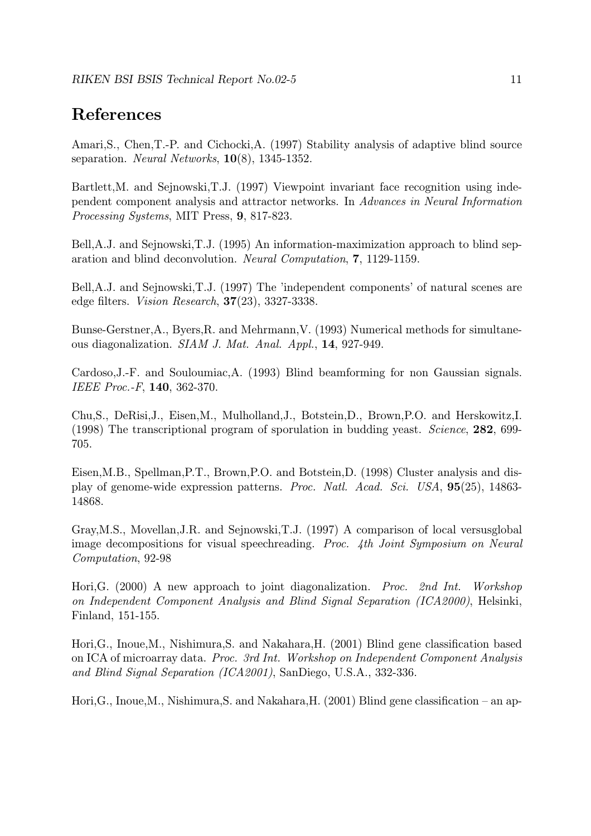### References

Amari,S., Chen,T.-P. and Cichocki,A. (1997) Stability analysis of adaptive blind source separation. Neural Networks, 10(8), 1345-1352.

Bartlett, M. and Sejnowski, T.J. (1997) Viewpoint invariant face recognition using independent component analysis and attractor networks. In Advances in Neural Information Processing Systems, MIT Press, 9, 817-823.

Bell,A.J. and Sejnowski,T.J. (1995) An information-maximization approach to blind separation and blind deconvolution. Neural Computation, 7, 1129-1159.

Bell,A.J. and Sejnowski,T.J. (1997) The 'independent components' of natural scenes are edge filters. Vision Research, 37(23), 3327-3338.

Bunse-Gerstner,A., Byers,R. and Mehrmann,V. (1993) Numerical methods for simultaneous diagonalization. SIAM J. Mat. Anal. Appl., 14, 927-949.

Cardoso,J.-F. and Souloumiac,A. (1993) Blind beamforming for non Gaussian signals. IEEE Proc.-F, 140, 362-370.

Chu,S., DeRisi,J., Eisen,M., Mulholland,J., Botstein,D., Brown,P.O. and Herskowitz,I. (1998) The transcriptional program of sporulation in budding yeast. Science, 282, 699- 705.

Eisen,M.B., Spellman,P.T., Brown,P.O. and Botstein,D. (1998) Cluster analysis and display of genome-wide expression patterns. Proc. Natl. Acad. Sci. USA, 95(25), 14863- 14868.

Gray,M.S., Movellan,J.R. and Sejnowski,T.J. (1997) A comparison of local versusglobal image decompositions for visual speechreading. Proc. 4th Joint Symposium on Neural Computation, 92-98

Hori,G. (2000) A new approach to joint diagonalization. Proc. 2nd Int. Workshop on Independent Component Analysis and Blind Signal Separation (ICA2000), Helsinki, Finland, 151-155.

Hori,G., Inoue,M., Nishimura,S. and Nakahara,H. (2001) Blind gene classification based on ICA of microarray data. Proc. 3rd Int. Workshop on Independent Component Analysis and Blind Signal Separation (ICA2001), SanDiego, U.S.A., 332-336.

Hori,G., Inoue,M., Nishimura,S. and Nakahara,H. (2001) Blind gene classification — an ap-